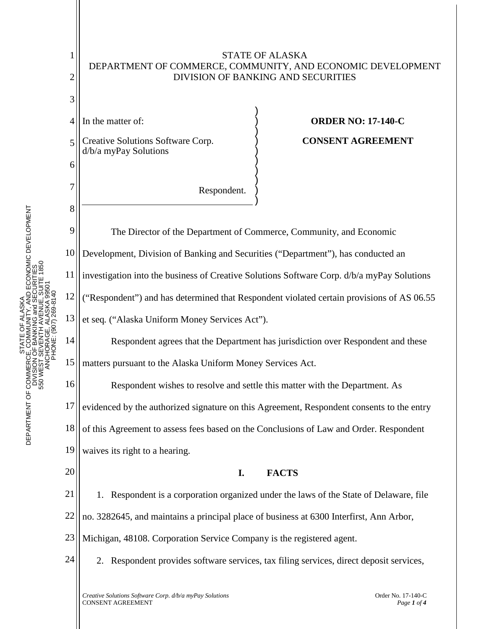

COMMUNITY, AND ECONOMIC DEVELOPMENT<br>- BANKING and SECURITIES<br>VENTH AVENUE, SUITE 1850<br>DRAGE. ALASKA 99501 DEPARTMENT OF COMMERCE, COMMUNITY, AND ECONOMIC DEVELOPMENT 550 WEST SEVENTH AVENUE, SUITE 1850 DIVISION OF BANKING and SECURITIES ANCHORAGE, ALASKA 99501 PHONE: (907) 269-8140 ALASKA STATE OF ALASKA ŏ STATE C<br>NOF BANK<br>NOF BANK<br>T SEVENTH DEPARTMENT OF COMMERCE<br>DIVISION<br>S50 WEST S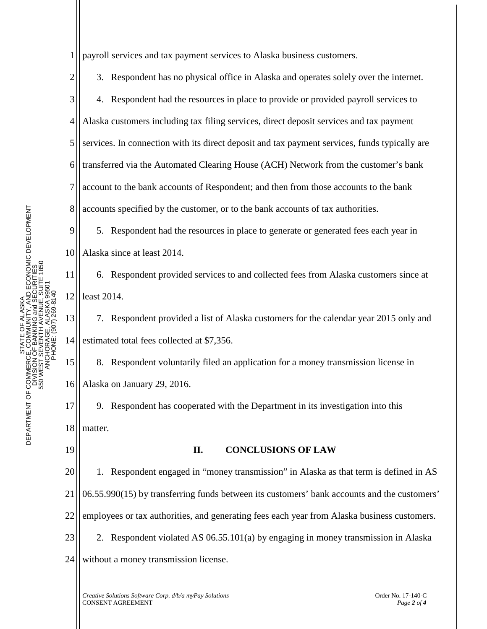STATE OF ALASKA<br>CE, COMMUNITY, AND ECONOMIC DEVELOPMENT<br>J OF BANKING and SECURITIES<br>- SEVENTH AVENUE, SUITE 1850<br>CHORAGE, ALASKA 99501<br>PHONE: (907) 269-8140 DEPARTMENT OF COMMERCE, COMMUNITY, AND ECONOMIC DEVELOPMENT 550 WEST SEVENTH AVENUE, SUITE 1850 DIVISION OF BANKING and SECURITIES ANCHORAGE, ALASKA 99501 PHONE: (907) 269-8140 STATE OF ALASKA DEPARTMENT OF COMMERCE<br>DNISION<br>560 WEST S

1 payroll services and tax payment services to Alaska business customers.

2 3 4 5 6 7 8 3. Respondent has no physical office in Alaska and operates solely over the internet. 4. Respondent had the resources in place to provide or provided payroll services to Alaska customers including tax filing services, direct deposit services and tax payment services. In connection with its direct deposit and tax payment services, funds typically are transferred via the Automated Clearing House (ACH) Network from the customer's bank account to the bank accounts of Respondent; and then from those accounts to the bank accounts specified by the customer, or to the bank accounts of tax authorities.

9 10 5. Respondent had the resources in place to generate or generated fees each year in Alaska since at least 2014.

11 12 6. Respondent provided services to and collected fees from Alaska customers since at least 2014.

13 14 7. Respondent provided a list of Alaska customers for the calendar year 2015 only and estimated total fees collected at \$7,356.

15 16 8. Respondent voluntarily filed an application for a money transmission license in Alaska on January 29, 2016.

17 18 9. Respondent has cooperated with the Department in its investigation into this matter.

19

## **II. CONCLUSIONS OF LAW**

20 21 22 23 24 1. Respondent engaged in "money transmission" in Alaska as that term is defined in AS 06.55.990(15) by transferring funds between its customers' bank accounts and the customers' employees or tax authorities, and generating fees each year from Alaska business customers. 2. Respondent violated AS 06.55.101(a) by engaging in money transmission in Alaska without a money transmission license.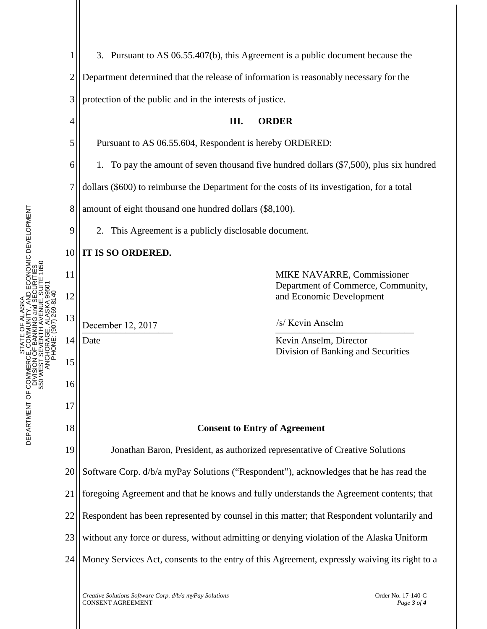

STATE OF ALASKA DEPARTMENT OF COMMERCE, COMMUNITY, AND ECONOMIC DEVELOPMENT DIVISION OF BANKING and SECURITIES 550 WEST SEVENTH AVENUE, SUITE 1850

DEPARTMENT OF COMMERCE<br>DIVISION<br>S50 WEST S

ŏ

ALASKA